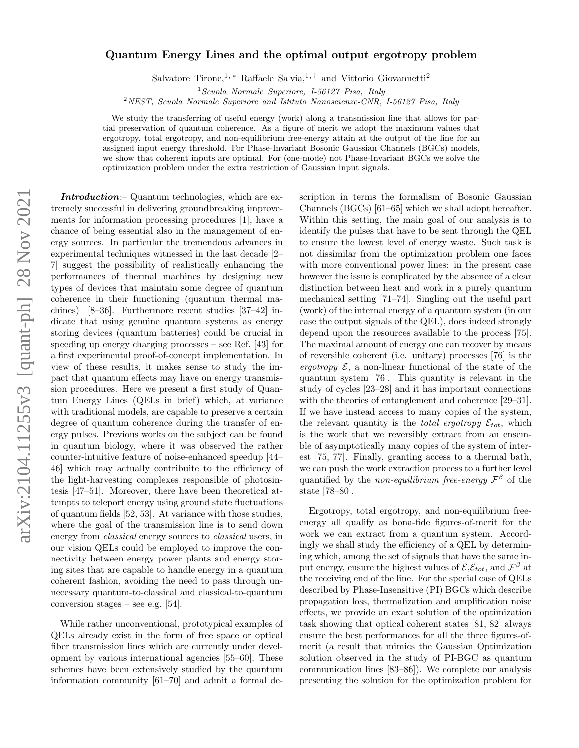# arXiv:2104.11255v3 [quant-ph] 28 Nov 2021 arXiv:2104.11255v3 [quant-ph] 28 Nov 2021

### Quantum Energy Lines and the optimal output ergotropy problem

Salvatore Tirone,<sup>1, \*</sup> Raffaele Salvia,<sup>1,†</sup> and Vittorio Giovannetti<sup>2</sup>

 $1$ Scuola Normale Superiore, I-56127 Pisa, Italy

<sup>2</sup>NEST, Scuola Normale Superiore and Istituto Nanoscienze-CNR, I-56127 Pisa, Italy

We study the transferring of useful energy (work) along a transmission line that allows for partial preservation of quantum coherence. As a figure of merit we adopt the maximum values that ergotropy, total ergotropy, and non-equilibrium free-energy attain at the output of the line for an assigned input energy threshold. For Phase-Invariant Bosonic Gaussian Channels (BGCs) models, we show that coherent inputs are optimal. For (one-mode) not Phase-Invariant BGCs we solve the optimization problem under the extra restriction of Gaussian input signals.

Introduction:– Quantum technologies, which are extremely successful in delivering groundbreaking improvements for information processing procedures [1], have a chance of being essential also in the management of energy sources. In particular the tremendous advances in experimental techniques witnessed in the last decade [2– 7] suggest the possibility of realistically enhancing the performances of thermal machines by designing new types of devices that maintain some degree of quantum coherence in their functioning (quantum thermal machines) [8–36]. Furthermore recent studies [37–42] indicate that using genuine quantum systems as energy storing devices (quantum batteries) could be crucial in speeding up energy charging processes – see Ref. [43] for a first experimental proof-of-concept implementation. In view of these results, it makes sense to study the impact that quantum effects may have on energy transmission procedures. Here we present a first study of Quantum Energy Lines (QELs in brief) which, at variance with traditional models, are capable to preserve a certain degree of quantum coherence during the transfer of energy pulses. Previous works on the subject can be found in quantum biology, where it was observed the rather counter-intuitive feature of noise-enhanced speedup [44– 46] which may actually contribuite to the efficiency of the light-harvesting complexes responsible of photosintesis [47–51]. Moreover, there have been theoretical attempts to teleport energy using ground state fluctuations of quantum fields [52, 53]. At variance with those studies, where the goal of the transmission line is to send down energy from classical energy sources to classical users, in our vision QELs could be employed to improve the connectivity between energy power plants and energy storing sites that are capable to handle energy in a quantum coherent fashion, avoiding the need to pass through unnecessary quantum-to-classical and classical-to-quantum conversion stages – see e.g.  $[54]$ .

While rather unconventional, prototypical examples of QELs already exist in the form of free space or optical fiber transmission lines which are currently under development by various international agencies [55–60]. These schemes have been extensively studied by the quantum information community [61–70] and admit a formal description in terms the formalism of Bosonic Gaussian Channels (BGCs) [61–65] which we shall adopt hereafter. Within this setting, the main goal of our analysis is to identify the pulses that have to be sent through the QEL to ensure the lowest level of energy waste. Such task is not dissimilar from the optimization problem one faces with more conventional power lines: in the present case however the issue is complicated by the absence of a clear distinction between heat and work in a purely quantum mechanical setting [71–74]. Singling out the useful part (work) of the internal energy of a quantum system (in our case the output signals of the QEL), does indeed strongly depend upon the resources available to the process [75]. The maximal amount of energy one can recover by means of reversible coherent (i.e. unitary) processes [76] is the ergotropy  $\mathcal{E}$ , a non-linear functional of the state of the quantum system [76]. This quantity is relevant in the study of cycles [23–28] and it has important connections with the theories of entanglement and coherence [29–31]. If we have instead access to many copies of the system, the relevant quantity is the *total ergotropy*  $\mathcal{E}_{tot}$ , which is the work that we reversibly extract from an ensemble of asymptotically many copies of the system of interest [75, 77]. Finally, granting access to a thermal bath, we can push the work extraction process to a further level quantified by the *non-equilibrium free-energy*  $\mathcal{F}^{\beta}$  of the state [78–80].

Ergotropy, total ergotropy, and non-equilibrium freeenergy all qualify as bona-fide figures-of-merit for the work we can extract from a quantum system. Accordingly we shall study the efficiency of a QEL by determining which, among the set of signals that have the same input energy, ensure the highest values of  $\mathcal{E}, \mathcal{E}_{tot}$ , and  $\mathcal{F}^{\beta}$  at the receiving end of the line. For the special case of QELs described by Phase-Insensitive (PI) BGCs which describe propagation loss, thermalization and amplification noise effects, we provide an exact solution of the optimization task showing that optical coherent states [81, 82] always ensure the best performances for all the three figures-ofmerit (a result that mimics the Gaussian Optimization solution observed in the study of PI-BGC as quantum communication lines [83–86]). We complete our analysis presenting the solution for the optimization problem for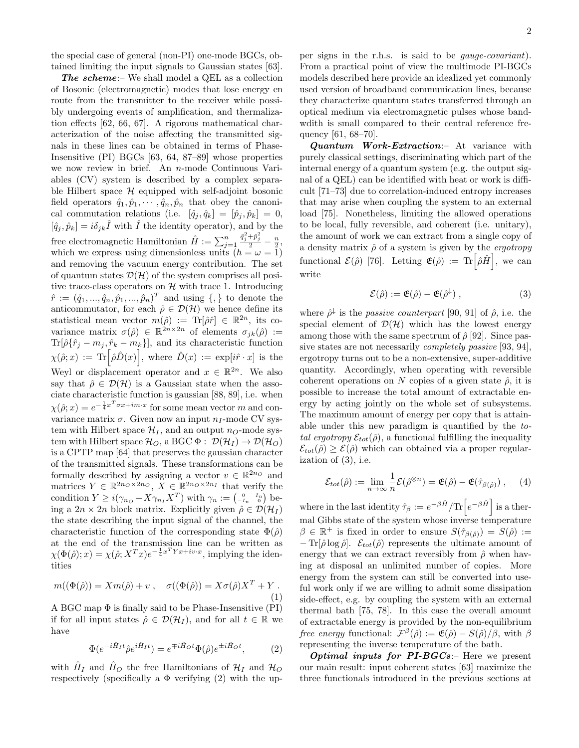The scheme:- We shall model a QEL as a collection of Bosonic (electromagnetic) modes that lose energy en route from the transmitter to the receiver while possibly undergoing events of amplification, and thermalization effects [62, 66, 67]. A rigorous mathematical characterization of the noise affecting the transmitted signals in these lines can be obtained in terms of Phase-Insensitive (PI) BGCs [63, 64, 87–89] whose properties we now review in brief. An n-mode Continuous Variables (CV) system is described by a complex separable Hilbert space  $H$  equipped with self-adjoint bosonic field operators  $\hat{q}_1, \hat{p}_1, \cdots, \hat{q}_n, \hat{p}_n$  that obey the canonical commutation relations (i.e.  $[\hat{q}_j, \hat{q}_k] = [\hat{p}_j, \hat{p}_k] = 0$ ,  $[\hat{q}_i, \hat{p}_k] = i\delta_{ik}\hat{I}$  with  $\hat{I}$  the identity operator), and by the free electromagnetic Hamiltonian  $\hat{H} := \sum_{j=1}^{n}$  $\frac{\hat{q}_j^2 + \hat{p}_j^2}{2} - \frac{n}{2},$ which we express using dimensionless units  $(\hbar = \omega = 1)$ and removing the vacuum energy contribution. The set of quantum states  $\mathcal{D}(\mathcal{H})$  of the system comprises all positive trace-class operators on  $H$  with trace 1. Introducing  $\hat{r} := (\hat{q}_1, ..., \hat{q}_n, \hat{p}_1, ..., \hat{p}_n)^T$  and using  $\{, \}$  to denote the anticommutator, for each  $\hat{\rho} \in \mathcal{D}(\mathcal{H})$  we hence define its statistical mean vector  $m(\hat{\rho}) := \text{Tr}[\hat{\rho}\hat{r}] \in \mathbb{R}^{2n}$ , its covariance matrix  $\sigma(\hat{\rho}) \in \mathbb{R}^{2n \times 2n}$  of elements  $\sigma_{jk}(\hat{\rho}) :=$  $\text{Tr}[\hat{\rho}\{\hat{r}_j - m_j, \hat{r}_k - m_k\}]$ , and its characteristic function  $\chi(\hat{\rho};x) := \text{Tr} \Big[ \hat{\rho} \hat{D}(x) \Big], \text{ where } \hat{D}(x) := \exp[i\hat{r} \cdot x] \text{ is the }$ Weyl or displacement operator and  $x \in \mathbb{R}^{2n}$ . We also say that  $\hat{\rho} \in \mathcal{D}(\mathcal{H})$  is a Gaussian state when the associate characteristic function is gaussian [88, 89], i.e. when  $\chi(\hat{\rho};x) = e^{-\frac{1}{4}x^T \sigma x + im \cdot x}$  for some mean vector m and convariance matrix  $\sigma$ . Given now an input  $n_I$ -mode CV system with Hilbert space  $\mathcal{H}_I$ , and an output  $n_O$ -mode system with Hilbert space  $\mathcal{H}_O$ , a BGC  $\Phi : \mathcal{D}(\mathcal{H}_I) \to \mathcal{D}(\mathcal{H}_O)$ is a CPTP map [64] that preserves the gaussian character of the transmitted signals. These transformations can be formally described by assigning a vector  $v \in \mathbb{R}^{2n_0}$  and matrices  $Y \in \mathbb{R}^{2n_0 \times 2n_0}$ ,  $X \in \mathbb{R}^{2n_0 \times 2n_I}$  that verify the condition  $Y \geq i(\gamma_{n_Q} - X\gamma_{n_I}X^T)$  with  $\gamma_n := \begin{pmatrix} 0 & I_n \\ -I_n & 0 \end{pmatrix}$  being a  $2n \times 2n$  block matrix. Explicitly given  $\hat{\rho} \in \mathcal{D}(\mathcal{H}_I)$ the state describing the input signal of the channel, the characteristic function of the corresponding state  $\Phi(\hat{\rho})$ at the end of the transmission line can be written as  $\chi(\Phi(\hat{\rho}); x) = \chi(\hat{\rho}; X^T x) e^{-\frac{1}{4}x^T Y x + iv \cdot x}$ , implying the identities

$$
m((\Phi(\hat{\rho})) = Xm(\hat{\rho}) + v , \quad \sigma((\Phi(\hat{\rho})) = X\sigma(\hat{\rho})X^T + Y .
$$
\n(1)

A BGC map  $\Phi$  is finally said to be Phase-Insensitive (PI) if for all input states  $\hat{\rho} \in \mathcal{D}(\mathcal{H}_I)$ , and for all  $t \in \mathbb{R}$  we have

$$
\Phi(e^{-i\hat{H}_I t}\hat{\rho}e^{i\hat{H}_I t}) = e^{\mp i\hat{H}_O t}\Phi(\hat{\rho})e^{\pm i\hat{H}_O t},\qquad(2)
$$

with  $\hat{H}_I$  and  $\hat{H}_O$  the free Hamiltonians of  $\mathcal{H}_I$  and  $\mathcal{H}_O$ respectively (specifically a  $\Phi$  verifying (2) with the up-

per signs in the r.h.s. is said to be gauge-covariant). From a practical point of view the multimode PI-BGCs models described here provide an idealized yet commonly used version of broadband communication lines, because they characterize quantum states transferred through an optical medium via electromagnetic pulses whose bandwdith is small compared to their central reference frequency [61, 68–70].

Quantum Work-Extraction:- At variance with purely classical settings, discriminating which part of the internal energy of a quantum system (e.g. the output signal of a QEL) can be identified with heat or work is difficult [71–73] due to correlation-induced entropy increases that may arise when coupling the system to an external load [75]. Nonetheless, limiting the allowed operations to be local, fully reversible, and coherent (i.e. unitary), the amount of work we can extract from a single copy of a density matrix  $\hat{\rho}$  of a system is given by the *ergotropy* functional  $\mathcal{E}(\hat{\rho})$  [76]. Letting  $\mathfrak{E}(\hat{\rho}) := {\rm Tr} \left[ \hat{\rho} \hat{H} \right]$ , we can write

$$
\mathcal{E}(\hat{\rho}) := \mathfrak{E}(\hat{\rho}) - \mathfrak{E}(\hat{\rho}^{\downarrow}), \qquad (3)
$$

where  $\hat{\rho}^{\downarrow}$  is the *passive counterpart* [90, 91] of  $\hat{\rho}$ , i.e. the special element of  $\mathcal{D}(\mathcal{H})$  which has the lowest energy among those with the same spectrum of  $\hat{\rho}$  [92]. Since passive states are not necessarily completely passive [93, 94], ergotropy turns out to be a non-extensive, super-additive quantity. Accordingly, when operating with reversible coherent operations on N copies of a given state  $\hat{\rho}$ , it is possible to increase the total amount of extractable energy by acting jointly on the whole set of subsystems. The maximum amount of energy per copy that is attainable under this new paradigm is quantified by the total ergotropy  $\mathcal{E}_{tot}(\hat{\rho})$ , a functional fulfilling the inequality  $\mathcal{E}_{tot}(\hat{\rho}) \geq \mathcal{E}(\hat{\rho})$  which can obtained via a proper regularization of (3), i.e.

$$
\mathcal{E}_{tot}(\hat{\rho}) := \lim_{n \to \infty} \frac{1}{n} \mathcal{E}(\hat{\rho}^{\otimes n}) = \mathfrak{E}(\hat{\rho}) - \mathfrak{E}(\hat{\tau}_{\beta(\hat{\rho})}), \quad (4)
$$

where in the last identity  $\hat{\tau}_{\beta} := e^{-\beta \hat{H}} / \text{Tr} \left[ e^{-\beta \hat{H}} \right]$  is a thermal Gibbs state of the system whose inverse temperature  $\beta \in \mathbb{R}^+$  is fixed in order to ensure  $S(\hat{\tau}_{\beta(\hat{\rho})}) = S(\hat{\rho}) :=$  $-\text{Tr}[\hat{\rho}\log\hat{\rho}]$ .  $\mathcal{E}_{tot}(\hat{\rho})$  represents the ultimate amount of energy that we can extract reversibly from  $\hat{\rho}$  when having at disposal an unlimited number of copies. More energy from the system can still be converted into useful work only if we are willing to admit some dissipation side-effect, e.g. by coupling the system with an external thermal bath [75, 78]. In this case the overall amount of extractable energy is provided by the non-equilibrium free energy functional:  $\mathcal{F}^{\beta}(\hat{\rho}) := \mathfrak{E}(\hat{\rho}) - S(\hat{\rho})/\beta$ , with  $\beta$ representing the inverse temperature of the bath.

**Optimal inputs for PI-BGCs:**- Here we present our main result: input coherent states [63] maximize the three functionals introduced in the previous sections at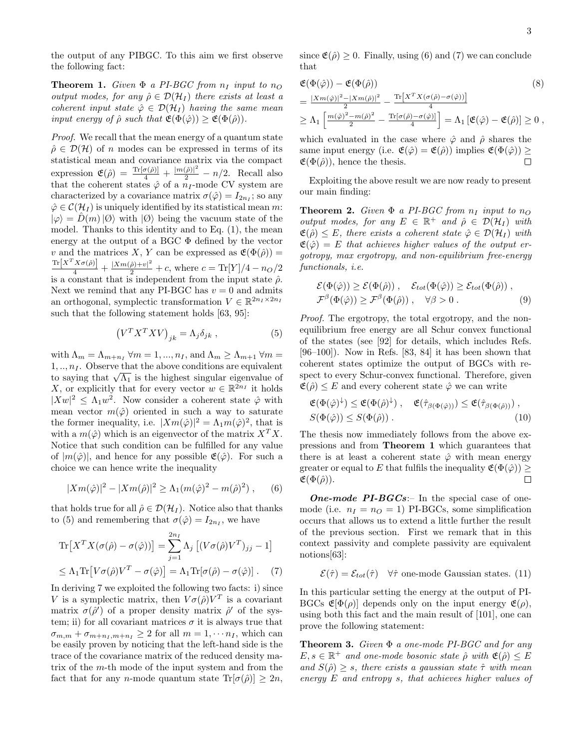the output of any PIBGC. To this aim we first observe the following fact:

**Theorem 1.** Given  $\Phi$  a PI-BGC from  $n_I$  input to  $n_O$ output modes, for any  $\hat{\rho} \in \mathcal{D}(\mathcal{H}_I)$  there exists at least a coherent input state  $\hat{\varphi} \in \mathcal{D}(\mathcal{H}_I)$  having the same mean input energy of  $\hat{\rho}$  such that  $\mathfrak{E}(\Phi(\hat{\varphi})) \geq \mathfrak{E}(\Phi(\hat{\rho})).$ 

Proof. We recall that the mean energy of a quantum state  $\hat{\rho} \in \mathcal{D}(\mathcal{H})$  of n modes can be expressed in terms of its statistical mean and covariance matrix via the compact expression  $\mathfrak{E}(\hat{\rho}) = \frac{\text{Tr}[\sigma(\hat{\rho})]}{4} + \frac{|m(\hat{\rho})|^2}{2} - n/2$ . Recall also that the coherent states  $\hat{\varphi}$  of a  $n_I$ -mode CV system are characterized by a covariance matrix  $\sigma(\hat{\varphi}) = I_{2n_I}$ ; so any  $\hat{\varphi} \in \mathcal{C}(\mathcal{H}_I)$  is uniquely identified by its statistical mean m:  $|\varphi\rangle = D(m)|\varnothing\rangle$  with  $|\varnothing\rangle$  being the vacuum state of the model. Thanks to this identity and to Eq. (1), the mean energy at the output of a BGC Φ defined by the vector v and the matrices X, Y can be expressed as  $\mathfrak{E}(\Phi(\hat{\rho})) =$  $\frac{\text{Tr}[X^TX\sigma(\hat{\rho})]}{4} + \frac{|Xm(\hat{\rho})+v|^2}{2} + c$ , where  $c = \text{Tr}[Y]/4 - n_O/2$ is a constant that is independent from the input state  $\hat{\rho}$ . Next we remind that any PI-BGC has  $v = 0$  and admits an orthogonal, symplectic transformation  $V \in \mathbb{R}^{2n_I \times 2n_I}$ such that the following statement holds [63, 95]:

$$
\left(V^T X^T X V\right)_{jk} = \Lambda_j \delta_{jk} , \qquad (5)
$$

with  $\Lambda_m = \Lambda_{m+n_I}$   $\forall m = 1, ..., n_I$ , and  $\Lambda_m \geq \Lambda_{m+1}$   $\forall m =$  $1, \ldots, n_I$ . Observe that the above conditions are equivalent to saying that  $\sqrt{\Lambda_1}$  is the highest singular eigenvalue of X, or explicitly that for every vector  $w \in \mathbb{R}^{2n_I}$  it holds  $|Xw|^2 \leq \Lambda_1 w^2$ . Now consider a coherent state  $\hat{\varphi}$  with mean vector  $m(\hat{\varphi})$  oriented in such a way to saturate the former inequality, i.e.  $|Xm(\hat{\varphi})|^2 = \Lambda_1 m(\hat{\varphi})^2$ , that is with a  $m(\hat{\varphi})$  which is an eigenvector of the matrix  $X^T X$ . Notice that such condition can be fulfilled for any value of  $|m(\hat{\varphi})|$ , and hence for any possible  $\mathfrak{E}(\hat{\varphi})$ . For such a choice we can hence write the inequality

$$
|Xm(\hat{\varphi})|^2 - |Xm(\hat{\rho})|^2 \ge \Lambda_1(m(\hat{\varphi})^2 - m(\hat{\rho})^2) ,\qquad (6)
$$

that holds true for all  $\hat{\rho} \in \mathcal{D}(\mathcal{H}_I)$ . Notice also that thanks to (5) and remembering that  $\sigma(\hat{\varphi}) = I_{2n_I}$ , we have

$$
\operatorname{Tr}\left[X^T X(\sigma(\hat{\rho}) - \sigma(\hat{\varphi}))\right] = \sum_{j=1}^{2n_I} \Lambda_j \left[ (V \sigma(\hat{\rho}) V^T)_{jj} - 1 \right]
$$
  

$$
\leq \Lambda_1 \operatorname{Tr}\left[V \sigma(\hat{\rho}) V^T - \sigma(\hat{\varphi})\right] = \Lambda_1 \operatorname{Tr}[\sigma(\hat{\rho}) - \sigma(\hat{\varphi})]. \tag{7}
$$

In deriving 7 we exploited the following two facts: i) since V is a symplectic matrix, then  $V\sigma(\hat{\rho})V^T$  is a covariant matrix  $\sigma(\hat{\rho}')$  of a proper density matrix  $\hat{\rho}'$  of the system; ii) for all covariant matrices  $\sigma$  it is always true that  $\sigma_{m,m} + \sigma_{m+n_I, m+n_I} \geq 2$  for all  $m = 1, \cdots n_I$ , which can be easily proven by noticing that the left-hand side is the trace of the covariance matrix of the reduced density matrix of the m-th mode of the input system and from the fact that for any n-mode quantum state  $\text{Tr}[\sigma(\hat{\rho})] > 2n$ ,

since  $\mathfrak{E}(\hat{\rho}) \geq 0$ . Finally, using (6) and (7) we can conclude that

$$
\mathfrak{E}(\Phi(\hat{\varphi})) - \mathfrak{E}(\Phi(\hat{\rho})) \qquad (8)
$$
\n
$$
= \frac{|Xm(\hat{\varphi})|^2 - |Xm(\hat{\rho})|^2}{2} - \frac{\text{Tr}[X^T X(\sigma(\hat{\rho}) - \sigma(\hat{\varphi}))]}{4}
$$
\n
$$
\geq \Lambda_1 \left[ \frac{m(\hat{\varphi})^2 - m(\hat{\rho})^2}{2} - \frac{\text{Tr}[\sigma(\hat{\rho}) - \sigma(\hat{\varphi})]}{4} \right] = \Lambda_1 \left[ \mathfrak{E}(\hat{\varphi}) - \mathfrak{E}(\hat{\rho}) \right] \geq 0,
$$

which evaluated in the case where  $\hat{\varphi}$  and  $\hat{\rho}$  shares the same input energy (i.e.  $\mathfrak{E}(\hat{\varphi}) = \mathfrak{E}(\hat{\rho})$ ) implies  $\mathfrak{E}(\Phi(\hat{\varphi})) \ge \mathfrak{E}(\Phi(\hat{\rho}))$ , hence the thesis.  $\mathfrak{E}(\Phi(\hat{\rho}))$ , hence the thesis.

Exploiting the above result we are now ready to present our main finding:

**Theorem 2.** Given  $\Phi$  a PI-BGC from  $n_I$  input to  $n_O$ output modes, for any  $E \in \mathbb{R}^+$  and  $\hat{\rho} \in \mathcal{D}(\mathcal{H}_I)$  with  $\mathfrak{E}(\hat{\rho}) \leq E$ , there exists a coherent state  $\hat{\varphi} \in \mathcal{D}(\mathcal{H}_I)$  with  $\mathfrak{E}(\hat{\varphi}) = E$  that achieves higher values of the output ergotropy, max ergotropy, and non-equilibrium free-energy functionals, i.e.

$$
\mathcal{E}(\Phi(\hat{\varphi})) \ge \mathcal{E}(\Phi(\hat{\rho})) , \quad \mathcal{E}_{tot}(\Phi(\hat{\varphi})) \ge \mathcal{E}_{tot}(\Phi(\hat{\rho})) ,
$$
  

$$
\mathcal{F}^{\beta}(\Phi(\hat{\varphi})) \ge \mathcal{F}^{\beta}(\Phi(\hat{\rho})) , \quad \forall \beta > 0 .
$$
 (9)

Proof. The ergotropy, the total ergotropy, and the nonequilibrium free energy are all Schur convex functional of the states (see [92] for details, which includes Refs. [96–100]). Now in Refs. [83, 84] it has been shown that coherent states optimize the output of BGCs with respect to every Schur-convex functional. Therefore, given  $\mathfrak{E}(\hat{\rho}) \leq E$  and every coherent state  $\hat{\varphi}$  we can write

$$
\mathfrak{E}(\Phi(\hat{\varphi})^{\downarrow}) \leq \mathfrak{E}(\Phi(\hat{\rho})^{\downarrow}), \quad \mathfrak{E}(\hat{\tau}_{\beta(\Phi(\hat{\varphi}))}) \leq \mathfrak{E}(\hat{\tau}_{\beta(\Phi(\hat{\rho}))}), S(\Phi(\hat{\varphi})) \leq S(\Phi(\hat{\rho})).
$$
\n(10)

The thesis now immediately follows from the above expressions and from Theorem 1 which guarantees that there is at least a coherent state  $\hat{\varphi}$  with mean energy greater or equal to E that fulfils the inequality  $\mathfrak{E}(\Phi(\hat{\varphi})) \geq$ <br> $\mathfrak{E}(\Phi(\hat{\rho}))$ .  $\mathfrak{E}(\Phi(\hat{\rho})).$ 

**One-mode PI-BGCs:**- In the special case of onemode (i.e.  $n_I = n_O = 1$ ) PI-BGCs, some simplification occurs that allows us to extend a little further the result of the previous section. First we remark that in this context passivity and complete passivity are equivalent notions[63]:

 $\mathcal{E}(\hat{\tau}) = \mathcal{E}_{tot}(\hat{\tau})$   $\forall \hat{\tau}$  one-mode Gaussian states. (11)

In this particular setting the energy at the output of PI-BGCs  $\mathfrak{E}[\Phi(\rho)]$  depends only on the input energy  $\mathfrak{E}(\rho)$ , using both this fact and the main result of [101], one can prove the following statement:

**Theorem 3.** Given  $\Phi$  a one-mode PI-BGC and for any  $E, s \in \mathbb{R}^+$  and one-mode bosonic state  $\hat{\rho}$  with  $\mathfrak{E}(\hat{\rho}) \leq E$ and  $S(\hat{\rho}) > s$ , there exists a gaussian state  $\hat{\tau}$  with mean energy E and entropy s, that achieves higher values of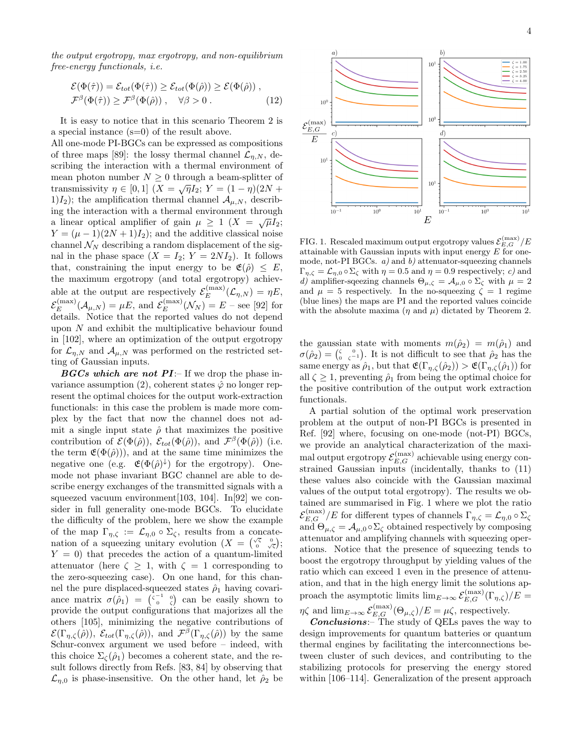the output ergotropy, max ergotropy, and non-equilibrium free-energy functionals, i.e.

$$
\mathcal{E}(\Phi(\hat{\tau})) = \mathcal{E}_{tot}(\Phi(\hat{\tau})) \ge \mathcal{E}_{tot}(\Phi(\hat{\rho})) \ge \mathcal{E}(\Phi(\hat{\rho})) ,
$$
  

$$
\mathcal{F}^{\beta}(\Phi(\hat{\tau})) \ge \mathcal{F}^{\beta}(\Phi(\hat{\rho})) , \quad \forall \beta > 0 .
$$
 (12)

It is easy to notice that in this scenario Theorem 2 is a special instance (s=0) of the result above.

All one-mode PI-BGCs can be expressed as compositions of three maps [89]: the lossy thermal channel  $\mathcal{L}_{n,N}$ , describing the interaction with a thermal environment of mean photon number  $N \geq 0$  through a beam-splitter of transmissivity  $\eta \in [0, 1]$   $(X = \sqrt{\eta}I_2; Y = (1 - \eta)(2N +$ 1) $I_2$ ); the amplification thermal channel  $\mathcal{A}_{\mu,N}$ , describing the interaction with a thermal environment through a linear optical amplifier of gain  $\mu \geq 1$   $(X = \sqrt{\mu}I_2;$  $Y = (\mu - 1)(2N + 1)I_2$ ; and the additive classical noise channel  $\mathcal{N}_N$  describing a random displacement of the signal in the phase space  $(X = I_2; Y = 2NI_2)$ . It follows that, constraining the input energy to be  $\mathfrak{E}(\hat{\rho}) \leq E$ , the maximum ergotropy (and total ergotropy) achievable at the output are respectively  $\mathcal{E}_E^{(\text{max})}$  $E^{(\max)}_{E}(\mathcal{L}_{\eta,N}) = \eta E,$  $\mathcal{E}_E^{(\mathrm{max})}$  $E^{(\max)}_{E}(\mathcal{A}_{\mu,N}) = \mu E$ , and  $\mathcal{E}_{E}^{(\max)}$  $E(E^{(\text{max})}(N_N) = E - \text{see} [92]$  for details. Notice that the reported values do not depend upon N and exhibit the multiplicative behaviour found in [102], where an optimization of the output ergotropy for  $\mathcal{L}_{n,N}$  and  $\mathcal{A}_{\mu,N}$  was performed on the restricted setting of Gaussian inputs.

 $BGCs$  which are not  $PI$ :- If we drop the phase invariance assumption (2), coherent states  $\hat{\varphi}$  no longer represent the optimal choices for the output work-extraction functionals: in this case the problem is made more complex by the fact that now the channel does not admit a single input state  $\hat{\rho}$  that maximizes the positive contribution of  $\mathcal{E}(\Phi(\hat{\rho}))$ ,  $\mathcal{E}_{tot}(\Phi(\hat{\rho}))$ , and  $\mathcal{F}^{\beta}(\Phi(\hat{\rho}))$  (i.e. the term  $\mathfrak{E}(\Phi(\hat{\rho})))$ , and at the same time minimizes the negative one (e.g.  $\mathfrak{E}(\Phi(\hat{\rho})^{\downarrow})$  for the ergotropy). Onemode not phase invariant BGC channel are able to describe energy exchanges of the transmitted signals with a squeezed vacuum environment[103, 104]. In[92] we consider in full generality one-mode BGCs. To elucidate the difficulty of the problem, here we show the example of the map  $\Gamma_{\eta,\zeta} := \mathcal{L}_{\eta,0} \circ \Sigma_{\zeta}$ , results from a concatenation of a squeezing unitary evolution  $(X = \begin{pmatrix} \sqrt{\zeta} & 0 \\ 0 & \sqrt{\zeta} \end{pmatrix};$  $Y = 0$ ) that precedes the action of a quantum-limited attenuator (here  $\zeta \geq 1$ , with  $\zeta = 1$  corresponding to the zero-squeezing case). On one hand, for this channel the pure displaced-squeezed states  $\hat{\rho}_1$  having covariance matrix  $\sigma(\hat{\rho}_1) = \begin{pmatrix} \zeta^{-1} & 0 \\ 0 & \zeta \end{pmatrix}$  can be easily shown to provide the output configurations that majorizes all the others [105], minimizing the negative contributions of  $\mathcal{E}(\Gamma_{\eta,\zeta}(\hat{\rho}))$ ,  $\mathcal{E}_{tot}(\Gamma_{\eta,\zeta}(\hat{\rho}))$ , and  $\mathcal{F}^{\beta}(\Gamma_{\eta,\zeta}(\hat{\rho}))$  by the same Schur-convex argument we used before – indeed, with this choice  $\Sigma_{\zeta}(\hat{\rho}_1)$  becomes a coherent state, and the result follows directly from Refs. [83, 84] by observing that  $\mathcal{L}_{n,0}$  is phase-insensitive. On the other hand, let  $\hat{\rho}_2$  be



FIG. 1. Rescaled maximum output ergotropy values  $\mathcal{E}_{E,G}^{(\max)}/E$ attainable with Gaussian inputs with input energy  $E$  for onemode, not-PI BGCs.  $a)$  and  $b)$  attenuator-squeezing channels  $\Gamma_{n,\zeta} = \mathcal{L}_{n,0} \circ \Sigma_{\zeta}$  with  $\eta = 0.5$  and  $\eta = 0.9$  respectively; c) and d) amplifier-sqeezing channels  $\Theta_{\mu,\zeta} = \mathcal{A}_{\mu,0} \circ \Sigma_{\zeta}$  with  $\mu = 2$ and  $\mu = 5$  respectively. In the no-squeezing  $\zeta = 1$  regime (blue lines) the maps are PI and the reported values coincide with the absolute maxima  $(\eta \text{ and } \mu)$  dictated by Theorem 2.

the gaussian state with moments  $m(\hat{\rho}_2) = m(\hat{\rho}_1)$  and  $\sigma(\hat{\rho}_2) = \begin{pmatrix} \zeta & 0 \\ 0 & \zeta^{-1} \end{pmatrix}$ . It is not difficult to see that  $\hat{\rho}_2$  has the same energy as  $\hat{\rho}_1$ , but that  $\mathfrak{E}(\Gamma_{\eta,\zeta}(\hat{\rho}_2)) > \mathfrak{E}(\Gamma_{\eta,\zeta}(\hat{\rho}_1))$  for all  $\zeta \geq 1$ , preventing  $\hat{\rho}_1$  from being the optimal choice for the positive contribution of the output work extraction functionals.

A partial solution of the optimal work preservation problem at the output of non-PI BGCs is presented in Ref. [92] where, focusing on one-mode (not-PI) BGCs, we provide an analytical characterization of the maximal output ergotropy  $\mathcal{E}_{E,G}^{(\max)}$  achievable using energy constrained Gaussian inputs (incidentally, thanks to (11) these values also coincide with the Gaussian maximal values of the output total ergotropy). The results we obtained are summarised in Fig. 1 where we plot the ratio  $\mathcal{E}_{E,G}^{(\max)}/E$  for different types of channels  $\Gamma_{\eta,\zeta}=\mathcal{L}_{\eta,0}\circ \Sigma_\zeta$ and  $\Theta_{\mu,\zeta} = \mathcal{A}_{\mu,0} \circ \Sigma_{\zeta}$  obtained respectively by composing attenuator and amplifying channels with squeezing operations. Notice that the presence of squeezing tends to boost the ergotropy throughput by yielding values of the ratio which can exceed 1 even in the presence of attenuation, and that in the high energy limit the solutions approach the asymptotic limits  $\lim_{E\to\infty} \mathcal{E}_{E,G}^{(\text{max})}(\Gamma_{\eta,\zeta})/E =$  $\eta \zeta$  and  $\lim_{E\to\infty} \mathcal{E}_{E,G}^{(\text{max})}(\Theta_{\mu,\zeta})/E = \mu \zeta$ , respectively.

Conclusions:– The study of QELs paves the way to design improvements for quantum batteries or quantum thermal engines by facilitating the interconnections between cluster of such devices, and contributing to the stabilizing protocols for preserving the energy stored within [106–114]. Generalization of the present approach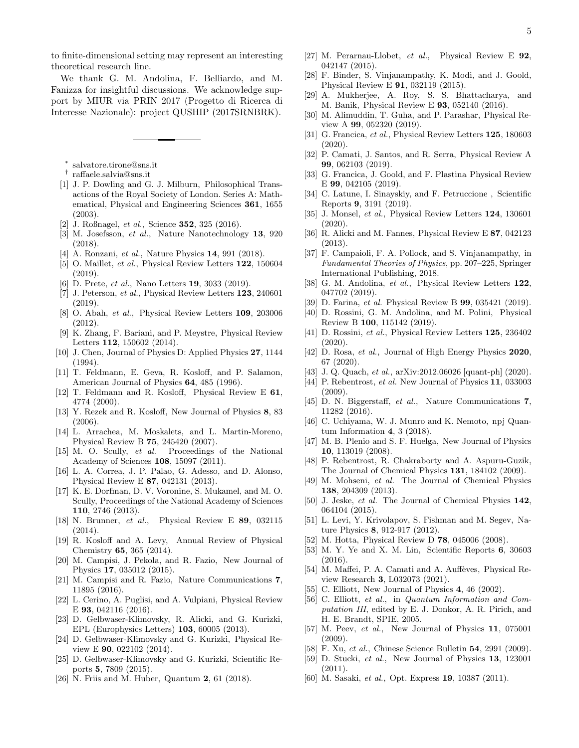to finite-dimensional setting may represent an interesting theoretical research line.

We thank G. M. Andolina, F. Belliardo, and M. Fanizza for insightful discussions. We acknowledge support by MIUR via PRIN 2017 (Progetto di Ricerca di Interesse Nazionale): project QUSHIP (2017SRNBRK).

- ∗ salvatore.tirone@sns.it
- † raffaele.salvia@sns.it
- [1] J. P. Dowling and G. J. Milburn, Philosophical Transactions of the Royal Society of London. Series A: Mathematical, Physical and Engineering Sciences 361, 1655 (2003).
- [2] J. Roßnagel, et al., Science **352**, 325 (2016).
- [3] M. Josefsson, et al., Nature Nanotechnology 13, 920 (2018).
- [4] A. Ronzani, *et al.*, Nature Physics **14**, 991 (2018).
- [5] O. Maillet, et al., Physical Review Letters 122, 150604 (2019).
- [6] D. Prete, *et al.*, Nano Letters **19**, 3033 (2019).
- [7] J. Peterson, et al., Physical Review Letters 123, 240601 (2019).
- [8] O. Abah, et al., Physical Review Letters 109, 203006 (2012).
- [9] K. Zhang, F. Bariani, and P. Meystre, Physical Review Letters 112, 150602 (2014).
- [10] J. Chen, Journal of Physics D: Applied Physics 27, 1144 (1994).
- [11] T. Feldmann, E. Geva, R. Kosloff, and P. Salamon, American Journal of Physics 64, 485 (1996).
- [12] T. Feldmann and R. Kosloff, Physical Review E 61, 4774 (2000).
- [13] Y. Rezek and R. Kosloff, New Journal of Physics 8, 83 (2006).
- [14] L. Arrachea, M. Moskalets, and L. Martin-Moreno, Physical Review B 75, 245420 (2007).
- [15] M. O. Scully, et al. Proceedings of the National Academy of Sciences 108, 15097 (2011).
- [16] L. A. Correa, J. P. Palao, G. Adesso, and D. Alonso, Physical Review E 87, 042131 (2013).
- [17] K. E. Dorfman, D. V. Voronine, S. Mukamel, and M. O. Scully, Proceedings of the National Academy of Sciences 110, 2746 (2013).
- [18] N. Brunner, et al., Physical Review E 89, 032115 (2014).
- [19] R. Kosloff and A. Levy, Annual Review of Physical Chemistry 65, 365 (2014).
- [20] M. Campisi, J. Pekola, and R. Fazio, New Journal of Physics 17, 035012 (2015).
- [21] M. Campisi and R. Fazio, Nature Communications 7, 11895 (2016).
- [22] L. Cerino, A. Puglisi, and A. Vulpiani, Physical Review E 93, 042116 (2016).
- [23] D. Gelbwaser-Klimovsky, R. Alicki, and G. Kurizki, EPL (Europhysics Letters) 103, 60005 (2013).
- [24] D. Gelbwaser-Klimovsky and G. Kurizki, Physical Review E 90, 022102 (2014).
- [25] D. Gelbwaser-Klimovsky and G. Kurizki, Scientific Reports 5, 7809 (2015).
- [26] N. Friis and M. Huber, Quantum 2, 61 (2018).
- [27] M. Perarnau-Llobet, et al., Physical Review E 92, 042147 (2015).
- [28] F. Binder, S. Vinjanampathy, K. Modi, and J. Goold, Physical Review E 91, 032119 (2015).
- [29] A. Mukherjee, A. Roy, S. S. Bhattacharya, and M. Banik, Physical Review E 93, 052140 (2016).
- [30] M. Alimuddin, T. Guha, and P. Parashar, Physical Review A 99, 052320 (2019).
- [31] G. Francica, et al., Physical Review Letters **125**, 180603 (2020).
- [32] P. Camati, J. Santos, and R. Serra, Physical Review A 99, 062103 (2019).
- [33] G. Francica, J. Goold, and F. Plastina Physical Review E 99, 042105 (2019).
- [34] C. Latune, I. Sinayskiy, and F. Petruccione , Scientific Reports 9, 3191 (2019).
- [35] J. Monsel, et al., Physical Review Letters 124, 130601 (2020).
- [36] R. Alicki and M. Fannes, Physical Review E 87, 042123 (2013).
- [37] F. Campaioli, F. A. Pollock, and S. Vinjanampathy, in Fundamental Theories of Physics, pp. 207–225, Springer International Publishing, 2018.
- [38] G. M. Andolina, et al., Physical Review Letters 122, 047702 (2019).
- [39] D. Farina, et al. Physical Review B **99**, 035421 (2019).
- [40] D. Rossini, G. M. Andolina, and M. Polini, Physical Review B 100, 115142 (2019).
- [41] D. Rossini, et al., Physical Review Letters 125, 236402 (2020).
- [42] D. Rosa, et al., Journal of High Energy Physics 2020, 67 (2020).
- [43] J. Q. Quach, et al., arXiv:2012.06026 [quant-ph] (2020).
- [44] P. Rebentrost, et al. New Journal of Physics 11, 033003 (2009).
- [45] D. N. Biggerstaff, et al., Nature Communications 7, 11282 (2016).
- [46] C. Uchiyama, W. J. Munro and K. Nemoto, npj Quantum Information 4, 3 (2018).
- [47] M. B. Plenio and S. F. Huelga, New Journal of Physics 10, 113019 (2008).
- [48] P. Rebentrost, R. Chakraborty and A. Aspuru-Guzik, The Journal of Chemical Physics 131, 184102 (2009).
- [49] M. Mohseni, et al. The Journal of Chemical Physics 138, 204309 (2013).
- [50] J. Jeske, *et al.* The Journal of Chemical Physics 142, 064104 (2015).
- [51] L. Levi, Y. Krivolapov, S. Fishman and M. Segev, Nature Physics 8, 912-917 (2012).
- [52] M. Hotta, Physical Review D 78, 045006 (2008).
- [53] M. Y. Ye and X. M. Lin, Scientific Reports 6, 30603 (2016).
- [54] M. Maffei, P. A. Camati and A. Auffèves, Physical Review Research 3, L032073 (2021).
- [55] C. Elliott, New Journal of Physics 4, 46 (2002).
- [56] C. Elliott, et al., in Quantum Information and Computation III, edited by E. J. Donkor, A. R. Pirich, and H. E. Brandt, SPIE, 2005.
- [57] M. Peev, et al., New Journal of Physics 11, 075001 (2009).
- [58] F. Xu, et al., Chinese Science Bulletin **54**, 2991 (2009).
- [59] D. Stucki, et al., New Journal of Physics 13, 123001 (2011).
- [60] M. Sasaki, et al., Opt. Express 19, 10387 (2011).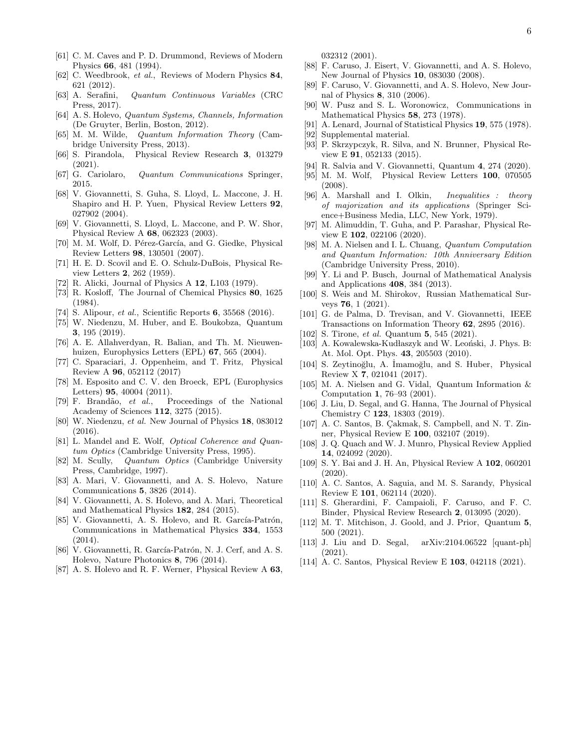- [61] C. M. Caves and P. D. Drummond, Reviews of Modern Physics 66, 481 (1994).
- [62] C. Weedbrook, et al., Reviews of Modern Physics 84, 621 (2012).
- [63] A. Serafini, Quantum Continuous Variables (CRC Press, 2017).
- [64] A. S. Holevo, Quantum Systems, Channels, Information (De Gruyter, Berlin, Boston, 2012).
- [65] M. M. Wilde, Quantum Information Theory (Cambridge University Press, 2013).
- [66] S. Pirandola, Physical Review Research 3, 013279 (2021).
- [67] G. Cariolaro, Quantum Communications Springer, 2015.
- [68] V. Giovannetti, S. Guha, S. Lloyd, L. Maccone, J. H. Shapiro and H. P. Yuen, Physical Review Letters 92, 027902 (2004).
- [69] V. Giovannetti, S. Lloyd, L. Maccone, and P. W. Shor, Physical Review A 68, 062323 (2003).
- [70] M. M. Wolf, D. Pérez-García, and G. Giedke, Physical Review Letters 98, 130501 (2007).
- [71] H. E. D. Scovil and E. O. Schulz-DuBois, Physical Review Letters 2, 262 (1959).
- [72] R. Alicki, Journal of Physics A 12, L103 (1979).
- [73] R. Kosloff, The Journal of Chemical Physics 80, 1625 (1984).
- [74] S. Alipour, *et al.*, Scientific Reports **6**, 35568 (2016).
- [75] W. Niedenzu, M. Huber, and E. Boukobza, Quantum 3, 195 (2019).
- [76] A. E. Allahverdyan, R. Balian, and Th. M. Nieuwenhuizen, Europhysics Letters (EPL) 67, 565 (2004).
- [77] C. Sparaciari, J. Oppenheim, and T. Fritz, Physical Review A 96, 052112 (2017)
- [78] M. Esposito and C. V. den Broeck, EPL (Europhysics Letters) 95, 40004 (2011).
- [79] F. Brand˜ao, et al., Proceedings of the National Academy of Sciences 112, 3275 (2015).
- [80] W. Niedenzu, et al. New Journal of Physics 18, 083012 (2016).
- [81] L. Mandel and E. Wolf, *Optical Coherence and Quan*tum Optics (Cambridge University Press, 1995).
- [82] M. Scully, Quantum Optics (Cambridge University Press, Cambridge, 1997).
- [83] A. Mari, V. Giovannetti, and A. S. Holevo, Nature Communications 5, 3826 (2014).
- [84] V. Giovannetti, A. S. Holevo, and A. Mari, Theoretical and Mathematical Physics 182, 284 (2015).
- [85] V. Giovannetti, A. S. Holevo, and R. García-Patrón, Communications in Mathematical Physics 334, 1553 (2014).
- [86] V. Giovannetti, R. García-Patrón, N. J. Cerf, and A. S. Holevo, Nature Photonics 8, 796 (2014).
- [87] A. S. Holevo and R. F. Werner, Physical Review A 63,

032312 (2001).

- [88] F. Caruso, J. Eisert, V. Giovannetti, and A. S. Holevo, New Journal of Physics 10, 083030 (2008).
- [89] F. Caruso, V. Giovannetti, and A. S. Holevo, New Journal of Physics 8, 310 (2006).
- [90] W. Pusz and S. L. Woronowicz, Communications in Mathematical Physics 58, 273 (1978).
- A. Lenard, Journal of Statistical Physics 19, 575 (1978).
- [92] Supplemental material.
- [93] P. Skrzypczyk, R. Silva, and N. Brunner, Physical Review E 91, 052133 (2015).
- [94] R. Salvia and V. Giovannetti, Quantum 4, 274 (2020).
- [95] M. M. Wolf, Physical Review Letters 100, 070505 (2008).
- [96] A. Marshall and I. Olkin, Inequalities : theory of majorization and its applications (Springer Science+Business Media, LLC, New York, 1979).
- [97] M. Alimuddin, T. Guha, and P. Parashar, Physical Review E 102, 022106 (2020).
- [98] M. A. Nielsen and I. L. Chuang, Quantum Computation and Quantum Information: 10th Anniversary Edition (Cambridge University Press, 2010).
- [99] Y. Li and P. Busch, Journal of Mathematical Analysis and Applications 408, 384 (2013).
- [100] S. Weis and M. Shirokov, Russian Mathematical Surveys 76, 1 (2021).
- [101] G. de Palma, D. Trevisan, and V. Giovannetti, IEEE Transactions on Information Theory 62, 2895 (2016).
- [102] S. Tirone, *et al.* Quantum **5**, 545 (2021).
- [103] A. Kowalewska-Kudłaszyk and W. Leoński, J. Phys. B: At. Mol. Opt. Phys. 43, 205503 (2010).
- [104] S. Zeytinoğlu, A. İmamoğlu, and S. Huber, Physical Review X 7, 021041 (2017).
- [105] M. A. Nielsen and G. Vidal, Quantum Information & Computation 1, 76–93 (2001).
- [106] J. Liu, D. Segal, and G. Hanna, The Journal of Physical Chemistry C 123, 18303 (2019).
- [ $107$ ] A. C. Santos, B. Cakmak, S. Campbell, and N. T. Zinner, Physical Review E 100, 032107 (2019).
- [108] J. Q. Quach and W. J. Munro, Physical Review Applied 14, 024092 (2020).
- [109] S. Y. Bai and J. H. An, Physical Review A 102, 060201  $(2020).$
- [110] A. C. Santos, A. Saguia, and M. S. Sarandy, Physical Review E 101, 062114 (2020).
- [111] S. Gherardini, F. Campaioli, F. Caruso, and F. C. Binder, Physical Review Research 2, 013095 (2020).
- [112] M. T. Mitchison, J. Goold, and J. Prior, Quantum 5, 500 (2021).
- [113] J. Liu and D. Segal, arXiv:2104.06522 [quant-ph] (2021).
- [114] A. C. Santos, Physical Review E 103, 042118 (2021).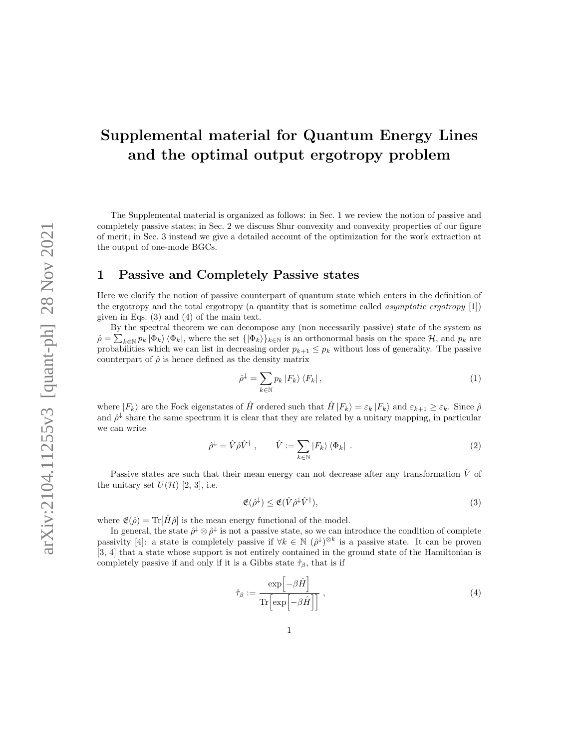# Supplemental material for Quantum Energy Lines and the optimal output ergotropy problem

The Supplemental material is organized as follows: in Sec. 1 we review the notion of passive and completely passive states; in Sec. 2 we discuss Shur convexity and convexity properties of our figure of merit; in Sec. 3 instead we give a detailed account of the optimization for the work extraction at the output of one-mode BGCs.

# 1 Passive and Completely Passive states

Here we clarify the notion of passive counterpart of quantum state which enters in the definition of the ergotropy and the total ergotropy (a quantity that is sometime called asymptotic ergotropy [1]) given in Eqs. (3) and (4) of the main text.

By the spectral theorem we can decompose any (non necessarily passive) state of the system as  $\hat{\rho} = \sum_{k \in \mathbb{N}} p_k |\Phi_k\rangle \langle \Phi_k|$ , where the set  $\{|\Phi_k\rangle\}_{k \in \mathbb{N}}$  is an orthonormal basis on the space  $\mathcal{H}$ , and  $p_k$  are probabilities which we can list in decreasing order  $p_{k+1} \leq p_k$  without loss of generality. The passive counterpart of  $\hat{\rho}$  is hence defined as the density matrix

$$
\hat{\rho}^{\downarrow} = \sum_{k \in \mathbb{N}} p_k |F_k\rangle \langle F_k| \,,\tag{1}
$$

where  $|F_k\rangle$  are the Fock eigenstates of  $\hat{H}$  ordered such that  $\hat{H}|F_k\rangle = \varepsilon_k |F_k\rangle$  and  $\varepsilon_{k+1} \geq \varepsilon_k$ . Since  $\hat{\rho}$ and  $\hat{\rho}^{\downarrow}$  share the same spectrum it is clear that they are related by a unitary mapping, in particular we can write

$$
\hat{\rho}^{\downarrow} = \hat{V}\hat{\rho}\hat{V}^{\dagger} , \qquad \hat{V} := \sum_{k \in \mathbb{N}} |F_k\rangle \langle \Phi_k| . \tag{2}
$$

Passive states are such that their mean energy can not decrease after any transformation  $\hat{V}$  of the unitary set  $U(\mathcal{H})$  [2, 3], i.e.

$$
\mathfrak{E}(\hat{\rho}^{\downarrow}) \leq \mathfrak{E}(\hat{V}\hat{\rho}^{\downarrow}\hat{V}^{\dagger}),\tag{3}
$$

where  $\mathfrak{E}(\hat{\rho}) = \text{Tr}[\hat{H}\hat{\rho}]$  is the mean energy functional of the model.

In general, the state  $\hat{\rho}^{\downarrow} \otimes \hat{\rho}^{\downarrow}$  is not a passive state, so we can introduce the condition of complete passivity [4]: a state is completely passive if  $\forall k \in \mathbb{N}$   $(\hat{\rho}^{\downarrow})^{\otimes k}$  is a passive state. It can be proven [3, 4] that a state whose support is not entirely contained in the ground state of the Hamiltonian is completely passive if and only if it is a Gibbs state  $\hat{\tau}_{\beta}$ , that is if

$$
\hat{\tau}_{\beta} := \frac{\exp\left[-\beta \hat{H}\right]}{\text{Tr}\left[\exp\left[-\beta \hat{H}\right]\right]},\tag{4}
$$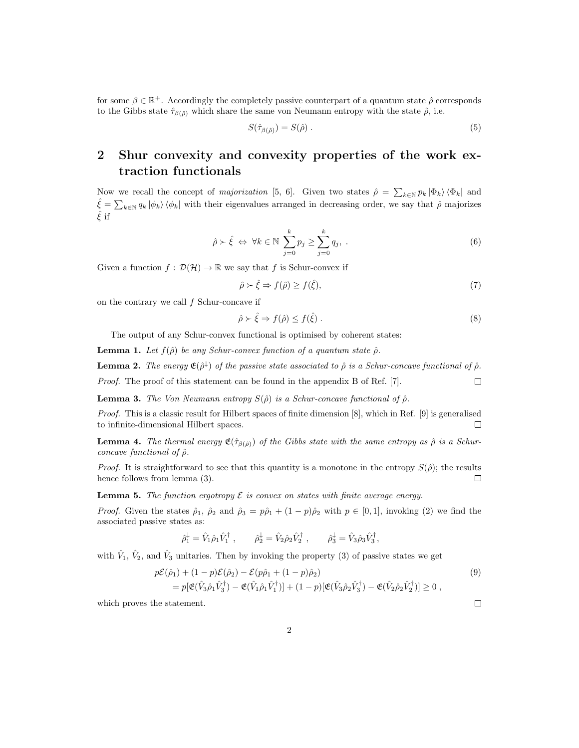for some  $\beta \in \mathbb{R}^+$ . Accordingly the completely passive counterpart of a quantum state  $\hat{\rho}$  corresponds to the Gibbs state  $\hat{\tau}_{\beta(\hat{\rho})}$  which share the same von Neumann entropy with the state  $\hat{\rho}$ , i.e.

$$
S(\hat{\tau}_{\beta(\hat{\rho})}) = S(\hat{\rho}) \tag{5}
$$

# 2 Shur convexity and convexity properties of the work extraction functionals

Now we recall the concept of *majorization* [5, 6]. Given two states  $\hat{\rho} = \sum_{k \in \mathbb{N}} p_k |\Phi_k\rangle \langle \Phi_k|$  and  $\hat{\xi} = \sum_{k \in \mathbb{N}} q_k |\phi_k\rangle \langle \phi_k|$  with their eigenvalues arranged in decreasing order, we say that  $\hat{\rho}$  majorizes  $\hat{\xi}$  if

$$
\hat{\rho} \succ \hat{\xi} \iff \forall k \in \mathbb{N} \sum_{j=0}^{k} p_j \ge \sum_{j=0}^{k} q_j, \qquad (6)
$$

Given a function  $f : \mathcal{D}(\mathcal{H}) \to \mathbb{R}$  we say that f is Schur-convex if

$$
\hat{\rho} \succ \hat{\xi} \Rightarrow f(\hat{\rho}) \ge f(\hat{\xi}),\tag{7}
$$

on the contrary we call f Schur-concave if

$$
\hat{\rho} \succ \hat{\xi} \Rightarrow f(\hat{\rho}) \le f(\hat{\xi}) \,. \tag{8}
$$

The output of any Schur-convex functional is optimised by coherent states:

**Lemma 1.** Let  $f(\hat{\rho})$  be any Schur-convex function of a quantum state  $\hat{\rho}$ .

**Lemma 2.** The energy  $\mathfrak{E}(\hat{\rho}^{\downarrow})$  of the passive state associated to  $\hat{\rho}$  is a Schur-concave functional of  $\hat{\rho}$ .

Proof. The proof of this statement can be found in the appendix B of Ref. [7].  $\Box$ 

**Lemma 3.** The Von Neumann entropy  $S(\hat{\rho})$  is a Schur-concave functional of  $\hat{\rho}$ .

Proof. This is a classic result for Hilbert spaces of finite dimension [8], which in Ref. [9] is generalised to infinite-dimensional Hilbert spaces.  $\Box$ 

**Lemma 4.** The thermal energy  $\mathfrak{E}(\hat{\tau}_{\beta(\hat{\rho})})$  of the Gibbs state with the same entropy as  $\hat{\rho}$  is a Schurconcave functional of  $\hat{\rho}$ .

*Proof.* It is straightforward to see that this quantity is a monotone in the entropy  $S(\hat{\rho})$ ; the results hence follows from lemma (3).  $\Box$ 

**Lemma 5.** The function ergotropy  $\mathcal{E}$  is convex on states with finite average energy.

*Proof.* Given the states  $\hat{\rho}_1$ ,  $\hat{\rho}_2$  and  $\hat{\rho}_3 = p\hat{\rho}_1 + (1-p)\hat{\rho}_2$  with  $p \in [0,1]$ , invoking (2) we find the associated passive states as:

$$
\hat{\rho}_1^{\downarrow} = \hat{V}_1 \hat{\rho}_1 \hat{V}_1^{\dagger} , \qquad \hat{\rho}_2^{\downarrow} = \hat{V}_2 \hat{\rho}_2 \hat{V}_2^{\dagger} , \qquad \hat{\rho}_3^{\downarrow} = \hat{V}_3 \hat{\rho}_3 \hat{V}_3^{\dagger} ,
$$

with  $\hat{V}_1, \hat{V}_2$ , and  $\hat{V}_3$  unitaries. Then by invoking the property (3) of passive states we get

$$
p\mathcal{E}(\hat{\rho}_1) + (1 - p)\mathcal{E}(\hat{\rho}_2) - \mathcal{E}(p\hat{\rho}_1 + (1 - p)\hat{\rho}_2)
$$
  
= 
$$
p[\mathfrak{E}(\hat{V}_3\hat{\rho}_1\hat{V}_3^{\dagger}) - \mathfrak{E}(\hat{V}_1\hat{\rho}_1\hat{V}_1^{\dagger})] + (1 - p)[\mathfrak{E}(\hat{V}_3\hat{\rho}_2\hat{V}_3^{\dagger}) - \mathfrak{E}(\hat{V}_2\hat{\rho}_2\hat{V}_2^{\dagger})] \ge 0,
$$
\n(9)

which proves the statement.

 $\Box$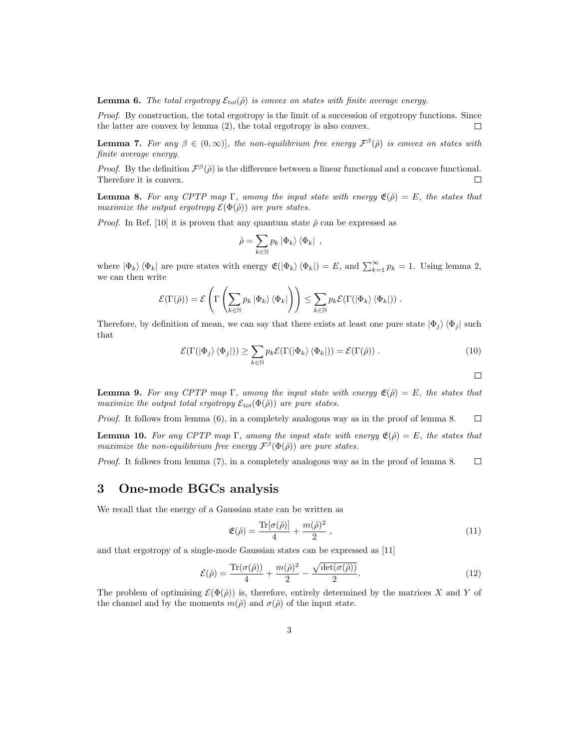**Lemma 6.** The total ergotropy  $\mathcal{E}_{tot}(\hat{\rho})$  is convex on states with finite average energy.

Proof. By construction, the total ergotropy is the limit of a succession of ergotropy functions. Since the latter are convex by lemma (2), the total ergotropy is also convex.  $\Box$ 

**Lemma 7.** For any  $\beta \in (0, \infty)$ , the non-equilibrium free energy  $\mathcal{F}^{\beta}(\hat{\rho})$  is convex on states with finite average energy.

*Proof.* By the definition  $\mathcal{F}^{\beta}(\hat{\rho})$  is the difference between a linear functional and a concave functional. Therefore it is convex.  $\Box$ 

**Lemma 8.** For any CPTP map Γ, among the input state with energy  $\mathfrak{E}(\hat{\rho}) = E$ , the states that maximize the output ergotropy  $\mathcal{E}(\Phi(\hat{\rho}))$  are pure states.

*Proof.* In Ref. [10] it is proven that any quantum state  $\hat{\rho}$  can be expressed as

$$
\hat{\rho} = \sum_{k \in \mathbb{N}} p_k \left| \Phi_k \right\rangle \left\langle \Phi_k \right| ,
$$

where  $|\Phi_k\rangle \langle \Phi_k|$  are pure states with energy  $\mathfrak{E}(|\Phi_k\rangle \langle \Phi_k|) = E$ , and  $\sum_{k=1}^{\infty} p_k = 1$ . Using lemma 2, we can then write

$$
\mathcal{E}(\Gamma(\hat{\rho})) = \mathcal{E}\left(\Gamma\left(\sum_{k\in\mathbb{N}}p_k |\Phi_k\rangle\langle\Phi_k|\right)\right) \leq \sum_{k\in\mathbb{N}}p_k\mathcal{E}(\Gamma(|\Phi_k\rangle\langle\Phi_k|)) .
$$

Therefore, by definition of mean, we can say that there exists at least one pure state  $|\Phi_i\rangle \langle \Phi_i|$  such that

$$
\mathcal{E}(\Gamma(|\Phi_j\rangle\langle\Phi_j|)) \ge \sum_{k \in \mathbb{N}} p_k \mathcal{E}(\Gamma(|\Phi_k\rangle\langle\Phi_k|)) = \mathcal{E}(\Gamma(\hat{\rho})) . \tag{10}
$$

 $\Box$ 

**Lemma 9.** For any CPTP map Γ, among the input state with energy  $\mathfrak{E}(\hat{\rho}) = E$ , the states that maximize the output total ergotropy  $\mathcal{E}_{tot}(\Phi(\hat{\rho}))$  are pure states.

Proof. It follows from lemma (6), in a completely analogous way as in the proof of lemma 8.  $\Box$ 

**Lemma 10.** For any CPTP map Γ, among the input state with energy  $\mathfrak{E}(\hat{\rho}) = E$ , the states that maximize the non-equilibrium free energy  $\mathcal{F}^{\beta}(\Phi(\hat{\rho}))$  are pure states.

Proof. It follows from lemma (7), in a completely analogous way as in the proof of lemma 8.  $\Box$ 

## 3 One-mode BGCs analysis

We recall that the energy of a Gaussian state can be written as

$$
\mathfrak{E}(\hat{\rho}) = \frac{\text{Tr}[\sigma(\hat{\rho})]}{4} + \frac{m(\hat{\rho})^2}{2} \,, \tag{11}
$$

and that ergotropy of a single-mode Gaussian states can be expressed as [11]

$$
\mathcal{E}(\hat{\rho}) = \frac{\text{Tr}(\sigma(\hat{\rho}))}{4} + \frac{m(\hat{\rho})^2}{2} - \frac{\sqrt{\text{det}(\sigma(\hat{\rho}))}}{2}.
$$
 (12)

The problem of optimising  $\mathcal{E}(\Phi(\hat{\rho}))$  is, therefore, entirely determined by the matrices X and Y of the channel and by the moments  $m(\hat{\rho})$  and  $\sigma(\hat{\rho})$  of the input state.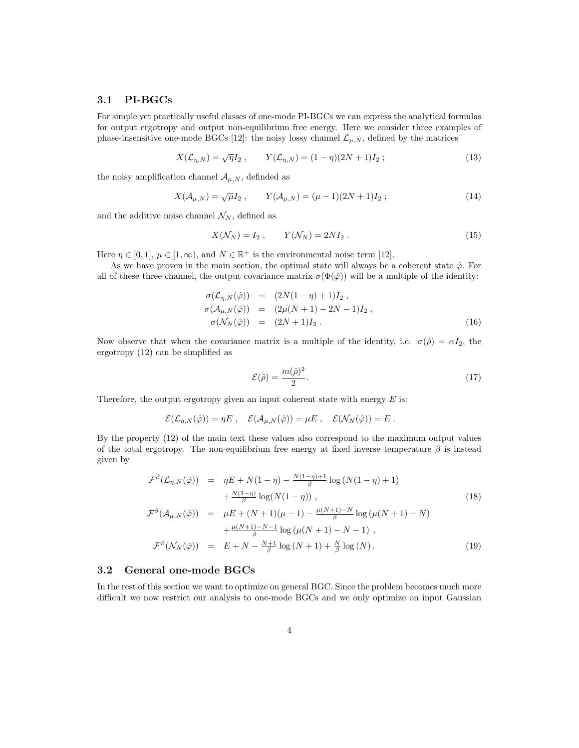### 3.1 PI-BGCs

For simple yet practically useful classes of one-mode PI-BGCs we can express the analytical formulas for output ergotropy and output non-equilibrium free energy. Here we consider three examples of phase-insensitive one-mode BGCs [12]: the noisy lossy channel  $\mathcal{L}_{\mu,N}$ , defined by the matrices

$$
X(\mathcal{L}_{\eta,N}) = \sqrt{\eta} I_2 , \qquad Y(\mathcal{L}_{\eta,N}) = (1 - \eta)(2N + 1)I_2 ; \qquad (13)
$$

the noisy amplification channel  $A_{\mu,N}$ , definded as

$$
X(\mathcal{A}_{\mu,N}) = \sqrt{\mu} I_2 , \qquad Y(\mathcal{A}_{\mu,N}) = (\mu - 1)(2N + 1)I_2 ; \qquad (14)
$$

and the additive noise channel  $\mathcal{N}_N$ , defined as

$$
X(\mathcal{N}_N) = I_2 , \qquad Y(\mathcal{N}_N) = 2NI_2 . \tag{15}
$$

Here  $\eta \in [0,1], \mu \in [1,\infty)$ , and  $N \in \mathbb{R}^+$  is the environmental noise term [12].

As we have proven in the main section, the optimal state will always be a coherent state  $\hat{\varphi}$ . For all of these three channel, the output covariance matrix  $\sigma(\Phi(\hat{\varphi}))$  will be a multiple of the identity:

$$
\begin{array}{rcl}\n\sigma(\mathcal{L}_{\eta,N}(\hat{\varphi})) & = & (2N(1-\eta)+1)I_2 \,, \\
\sigma(\mathcal{A}_{\mu,N}(\hat{\varphi})) & = & (2\mu(N+1)-2N-1)I_2 \,, \\
\sigma(\mathcal{N}_N(\hat{\varphi})) & = & (2N+1)I_2 \,.\n\end{array} \tag{16}
$$

Now observe that when the covariance matrix is a multiple of the identity, i.e.  $\sigma(\hat{\rho}) = \alpha I_2$ , the ergotropy (12) can be simplified as

$$
\mathcal{E}(\hat{\rho}) = \frac{m(\hat{\rho})^2}{2}.
$$
\n(17)

Therefore, the output ergotropy given an input coherent state with energy  $E$  is:

$$
\mathcal{E}(\mathcal{L}_{\eta,N}(\hat{\varphi})) = \eta E \ , \quad \mathcal{E}(\mathcal{A}_{\mu,N}(\hat{\varphi})) = \mu E \ , \quad \mathcal{E}(\mathcal{N}_N(\hat{\varphi})) = E \ .
$$

By the property (12) of the main text these values also correspond to the maximum output values of the total ergotropy. The non-equilibrium free energy at fixed inverse temperature  $\beta$  is instead given by

$$
\mathcal{F}^{\beta}(\mathcal{L}_{\eta,N}(\hat{\varphi})) = \eta E + N(1-\eta) - \frac{N(1-\eta)+1}{\beta} \log (N(1-\eta)+1) \n+ \frac{N(1-\eta)}{\beta} \log(N(1-\eta)),
$$
\n(18)  
\n
$$
\mathcal{F}^{\beta}(\mathcal{A}_{\mu,N}(\hat{\varphi})) = \mu E + (N+1)(\mu-1) - \frac{\mu(N+1)-N}{\beta} \log (\mu(N+1)-N) \n+ \frac{\mu(N+1)-N-1}{\beta} \log (\mu(N+1)-N-1),
$$
\n
$$
\mathcal{F}^{\beta}(\mathcal{N}_{N}(\hat{\varphi})) = E + N - \frac{N+1}{\beta} \log (N+1) + \frac{N}{\beta} \log (N).
$$
\n(19)

### 3.2 General one-mode BGCs

In the rest of this section we want to optimize on general BGC. Since the problem becomes much more difficult we now restrict our analysis to one-mode BGCs and we only optimize on input Gaussian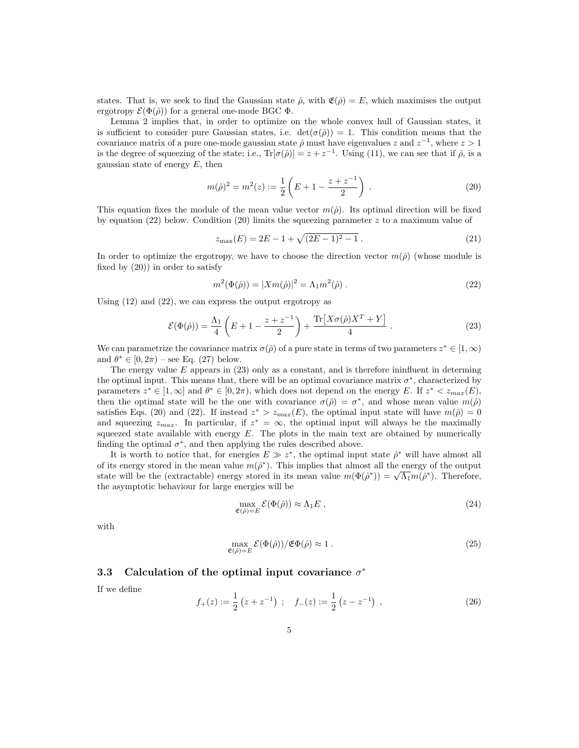states. That is, we seek to find the Gaussian state  $\hat{\rho}$ , with  $\mathfrak{E}(\hat{\rho}) = E$ , which maximises the output ergotropy  $\mathcal{E}(\Phi(\hat{\rho}))$  for a general one-mode BGC  $\Phi$ .

Lemma 2 implies that, in order to optimize on the whole convex hull of Gaussian states, it is sufficient to consider pure Gaussian states, i.e.  $det(\sigma(\hat{\rho})) = 1$ . This condition means that the covariance matrix of a pure one-mode gaussian state  $\hat{\rho}$  must have eigenvalues z and  $z^{-1}$ , where  $z > 1$ is the degree of squeezing of the state; i.e.,  $\text{Tr}[\sigma(\hat{\rho})] = z + z^{-1}$ . Using (11), we can see that if  $\hat{\rho}$ , is a gaussian state of energy  $E$ , then

$$
m(\hat{\rho})^2 = m^2(z) := \frac{1}{2} \left( E + 1 - \frac{z + z^{-1}}{2} \right) . \tag{20}
$$

This equation fixes the module of the mean value vector  $m(\hat{\rho})$ . Its optimal direction will be fixed by equation  $(22)$  below. Condition  $(20)$  limits the squeezing parameter z to a maximum value of

$$
z_{\text{max}}(E) = 2E - 1 + \sqrt{(2E - 1)^2 - 1} \,. \tag{21}
$$

In order to optimize the ergotropy, we have to choose the direction vector  $m(\hat{\rho})$  (whose module is fixed by (20)) in order to satisfy

$$
m^{2}(\Phi(\hat{\rho})) = |Xm(\hat{\rho})|^{2} = \Lambda_{1}m^{2}(\hat{\rho}).
$$
\n(22)

Using  $(12)$  and  $(22)$ , we can express the output ergotropy as

$$
\mathcal{E}(\Phi(\hat{\rho})) = \frac{\Lambda_1}{4} \left( E + 1 - \frac{z + z^{-1}}{2} \right) + \frac{\text{Tr}\left[ X\sigma(\hat{\rho})X^T + Y \right]}{4} \,. \tag{23}
$$

We can parametrize the covariance matrix  $\sigma(\hat{\rho})$  of a pure state in terms of two parameters  $z^* \in [1, \infty)$ and  $\theta^* \in [0, 2\pi)$  – see Eq. (27) below.

The energy value  $E$  appears in  $(23)$  only as a constant, and is therefore ininfluent in determing the optimal input. This means that, there will be an optimal covariance matrix  $\sigma^*$ , characterized by parameters  $z^* \in [1, \infty]$  and  $\theta^* \in [0, 2\pi)$ , which does not depend on the energy E. If  $z^* < z_{max}(E)$ , then the optimal state will be the one with covariance  $\sigma(\hat{\rho}) = \sigma^*$ , and whose mean value  $m(\hat{\rho})$ satisfies Eqs. (20) and (22). If instead  $z^* > z_{max}(E)$ , the optimal input state will have  $m(\hat{\rho}) = 0$ and squeezing  $z_{max}$ . In particular, if  $z^* = \infty$ , the optimal input will always be the maximally squeezed state available with energy  $E$ . The plots in the main text are obtained by numerically finding the optimal  $\sigma^*$ , and then applying the rules described above.

It is worth to notice that, for energies  $E \gg z^*$ , the optimal input state  $\hat{\rho}^*$  will have almost all of its energy stored in the mean value  $m(\hat{\rho}^*)$ . This implies that almost all the energy of the output state will be the (extractable) energy stored in its mean value  $m(\Phi(\hat{\rho}^*)) = \sqrt{\Lambda_1} m(\hat{\rho}^*)$ . Therefore, the asymptotic behaviour for large energies will be

$$
\max_{\mathfrak{E}(\hat{\rho})=E} \mathcal{E}(\Phi(\hat{\rho})) \approx \Lambda_1 E \,, \tag{24}
$$

with

$$
\max_{\mathfrak{E}(\hat{\rho})=E} \mathcal{E}(\Phi(\hat{\rho})) / \mathfrak{E}\Phi(\hat{\rho}) \approx 1.
$$
\n(25)

### 3.3 Calculation of the optimal input covariance  $\sigma^*$

If we define

$$
f_{+}(z) := \frac{1}{2} \left( z + z^{-1} \right) ; \quad f_{-}(z) := \frac{1}{2} \left( z - z^{-1} \right) , \tag{26}
$$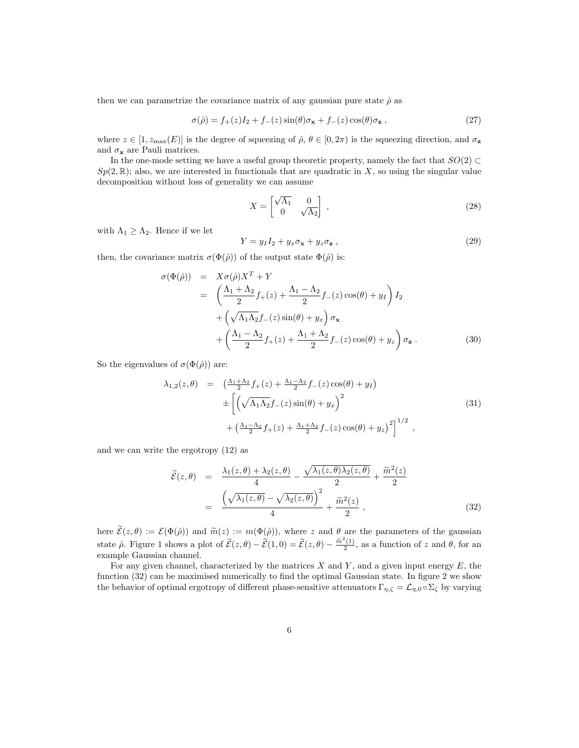then we can parametrize the covariance matrix of any gaussian pure state  $\hat{\rho}$  as

$$
\sigma(\hat{\rho}) = f_{+}(z)I_{2} + f_{-}(z)\sin(\theta)\sigma_{\mathbf{x}} + f_{-}(z)\cos(\theta)\sigma_{\mathbf{z}} , \qquad (27)
$$

where  $z \in [1, z_{\text{max}}(E)]$  is the degree of squeezing of  $\hat{\rho}, \theta \in [0, 2\pi)$  is the squeezing direction, and  $\sigma_z$ and  $\sigma_{\mathbf{x}}$  are Pauli matrices.

In the one-mode setting we have a useful group theoretic property, namely the fact that  $SO(2) \subset$  $Sp(2, \mathbb{R})$ ; also, we are interested in functionals that are quadratic in X, so using the singular value decomposition without loss of generality we can assume

$$
X = \begin{bmatrix} \sqrt{\Lambda_1} & 0\\ 0 & \sqrt{\Lambda_2} \end{bmatrix},
$$
\n(28)

with  $\Lambda_1 \geq \Lambda_2$ . Hence if we let

$$
Y = y_I I_2 + y_x \sigma_x + y_z \sigma_z , \qquad (29)
$$

then, the covariance matrix  $\sigma(\Phi(\hat{\rho}))$  of the output state  $\Phi(\hat{\rho})$  is:

$$
\sigma(\Phi(\hat{\rho})) = X\sigma(\hat{\rho})X^{T} + Y
$$
\n
$$
= \left(\frac{\Lambda_{1} + \Lambda_{2}}{2}f_{+}(z) + \frac{\Lambda_{1} - \Lambda_{2}}{2}f_{-}(z)\cos(\theta) + y_{I}\right)I_{2}
$$
\n
$$
+ \left(\sqrt{\Lambda_{1}\Lambda_{2}}f_{-}(z)\sin(\theta) + y_{x}\right)\sigma_{x}
$$
\n
$$
+ \left(\frac{\Lambda_{1} - \Lambda_{2}}{2}f_{+}(z) + \frac{\Lambda_{1} + \Lambda_{2}}{2}f_{-}(z)\cos(\theta) + y_{z}\right)\sigma_{z}.
$$
\n(30)

So the eigenvalues of  $\sigma(\Phi(\hat{\rho}))$  are:

$$
\lambda_{1,2}(z,\theta) = \left(\frac{\Delta_1 + \Delta_2}{2} f_+(z) + \frac{\Delta_1 - \Delta_2}{2} f_-(z) \cos(\theta) + y_I\right) \n\pm \left[ \left(\sqrt{\Delta_1 \Delta_2} f_-(z) \sin(\theta) + y_x\right)^2 + \left(\frac{\Delta_1 - \Delta_2}{2} f_+(z) + \frac{\Delta_1 + \Delta_2}{2} f_-(z) \cos(\theta) + y_z\right)^2 \right]^{1/2},
$$
\n(31)

and we can write the ergotropy (12) as

$$
\widetilde{\mathcal{E}}(z,\theta) = \frac{\lambda_1(z,\theta) + \lambda_2(z,\theta)}{4} - \frac{\sqrt{\lambda_1(z,\theta)\lambda_2(z,\theta)}}{2} + \frac{\widetilde{m}^2(z)}{2}
$$

$$
= \frac{\left(\sqrt{\lambda_1(z,\theta)} - \sqrt{\lambda_2(z,\theta)}\right)^2}{4} + \frac{\widetilde{m}^2(z)}{2}, \tag{32}
$$

here  $\mathcal{E}(z,\theta) := \mathcal{E}(\Phi(\hat{\rho}))$  and  $\widetilde{m}(z) := m(\Phi(\hat{\rho}))$ , where z and  $\theta$  are the parameters of the gaussian state  $\hat{\rho}$ . Figure 1 shows a plot of  $\tilde{\mathcal{E}}(z,\theta) - \tilde{\mathcal{E}}(1,0) = \tilde{\mathcal{E}}(z,\theta) - \frac{\tilde{m}^2(1)}{2}$ , as a function of z and  $\theta$ , for an example Gaussian channel.

For any given channel, characterized by the matrices  $X$  and  $Y$ , and a given input energy  $E$ , the function (32) can be maximised numerically to find the optimal Gaussian state. In figure 2 we show the behavior of optimal ergotropy of different phase-sensitive attenuators  $\Gamma_{\eta,\zeta} = \mathcal{L}_{\eta,0} \circ \Sigma_{\zeta}$  by varying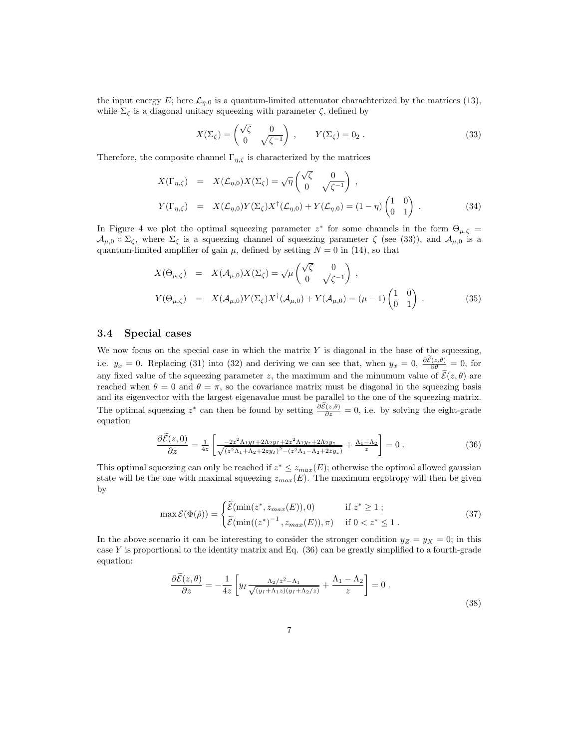the input energy E; here  $\mathcal{L}_{n,0}$  is a quantum-limited attenuator charachterized by the matrices (13), while  $\Sigma_{\zeta}$  is a diagonal unitary squeezing with parameter  $\zeta$ , defined by

$$
X(\Sigma_{\zeta}) = \begin{pmatrix} \sqrt{\zeta} & 0\\ 0 & \sqrt{\zeta^{-1}} \end{pmatrix} , \qquad Y(\Sigma_{\zeta}) = 0_2 . \tag{33}
$$

Therefore, the composite channel  $\Gamma_{n,\zeta}$  is characterized by the matrices

$$
X(\Gamma_{\eta,\zeta}) = X(\mathcal{L}_{\eta,0})X(\Sigma_{\zeta}) = \sqrt{\eta} \begin{pmatrix} \sqrt{\zeta} & 0 \\ 0 & \sqrt{\zeta^{-1}} \end{pmatrix},
$$
  
\n
$$
Y(\Gamma_{\eta,\zeta}) = X(\mathcal{L}_{\eta,0})Y(\Sigma_{\zeta})X^{\dagger}(\mathcal{L}_{\eta,0}) + Y(\mathcal{L}_{\eta,0}) = (1-\eta) \begin{pmatrix} 1 & 0 \\ 0 & 1 \end{pmatrix}.
$$
 (34)

In Figure 4 we plot the optimal squeezing parameter  $z^*$  for some channels in the form  $\Theta_{\mu,\zeta} =$  $\mathcal{A}_{\mu,0} \circ \Sigma_{\zeta}$ , where  $\Sigma_{\zeta}$  is a squeezing channel of squeezing parameter  $\zeta$  (see (33)), and  $\mathcal{A}_{\mu,0}$  is a quantum-limited amplifier of gain  $\mu$ , defined by setting  $N = 0$  in (14), so that

$$
X(\Theta_{\mu,\zeta}) = X(\mathcal{A}_{\mu,0})X(\Sigma_{\zeta}) = \sqrt{\mu} \begin{pmatrix} \sqrt{\zeta} & 0 \\ 0 & \sqrt{\zeta^{-1}} \end{pmatrix},
$$
  
\n
$$
Y(\Theta_{\mu,\zeta}) = X(\mathcal{A}_{\mu,0})Y(\Sigma_{\zeta})X^{\dagger}(\mathcal{A}_{\mu,0}) + Y(\mathcal{A}_{\mu,0}) = (\mu - 1) \begin{pmatrix} 1 & 0 \\ 0 & 1 \end{pmatrix}.
$$
 (35)

### 3.4 Special cases

We now focus on the special case in which the matrix  $Y$  is diagonal in the base of the squeezing, i.e.  $y_x = 0$ . Replacing (31) into (32) and deriving we can see that, when  $y_x = 0$ ,  $\frac{\partial \mathcal{E}(z,\theta)}{\partial \theta} = 0$ , for any fixed value of the squeezing parameter z, the maximum and the minumum value of  $\tilde{\mathcal{E}}(z,\theta)$  are reached when  $\theta = 0$  and  $\theta = \pi$ , so the covariance matrix must be diagonal in the squeezing basis and its eigenvector with the largest eigenavalue must be parallel to the one of the squeezing matrix. The optimal squeezing  $z^*$  can then be found by setting  $\frac{\partial \mathcal{E}(z,\theta)}{\partial z} = 0$ , i.e. by solving the eight-grade equation

$$
\frac{\partial \tilde{\mathcal{E}}(z,0)}{\partial z} = \frac{1}{4z} \left[ \frac{-2z^2 \Lambda_1 y_I + 2\Lambda_2 y_I + 2z^2 \Lambda_1 y_z + 2\Lambda_2 y_z}{\sqrt{(z^2 \Lambda_1 + \Lambda_2 + 2z y_I)^2 - (z^2 \Lambda_1 - \Lambda_2 + 2z y_z)}} + \frac{\Lambda_1 - \Lambda_2}{z} \right] = 0.
$$
\n(36)

This optimal squeezing can only be reached if  $z^* \leq z_{max}(E)$ ; otherwise the optimal allowed gaussian state will be the one with maximal squeezing  $z_{max}(E)$ . The maximum ergotropy will then be given by

$$
\max \mathcal{E}(\Phi(\hat{\rho})) = \begin{cases} \widetilde{\mathcal{E}}(\min(z^*, z_{max}(E)), 0) & \text{if } z^* \ge 1; \\ \widetilde{\mathcal{E}}(\min((z^*)^{-1}, z_{max}(E)), \pi) & \text{if } 0 < z^* \le 1. \end{cases}
$$
\n(37)

In the above scenario it can be interesting to consider the stronger condition  $y_Z = y_X = 0$ ; in this case Y is proportional to the identity matrix and Eq.  $(36)$  can be greatly simplified to a fourth-grade equation:

$$
\frac{\partial \tilde{\mathcal{E}}(z,\theta)}{\partial z} = -\frac{1}{4z} \left[ y_I \frac{\Lambda_2/z^2 - \Lambda_1}{\sqrt{(y_I + \Lambda_1 z)(y_I + \Lambda_2/z)}} + \frac{\Lambda_1 - \Lambda_2}{z} \right] = 0.
$$
\n(38)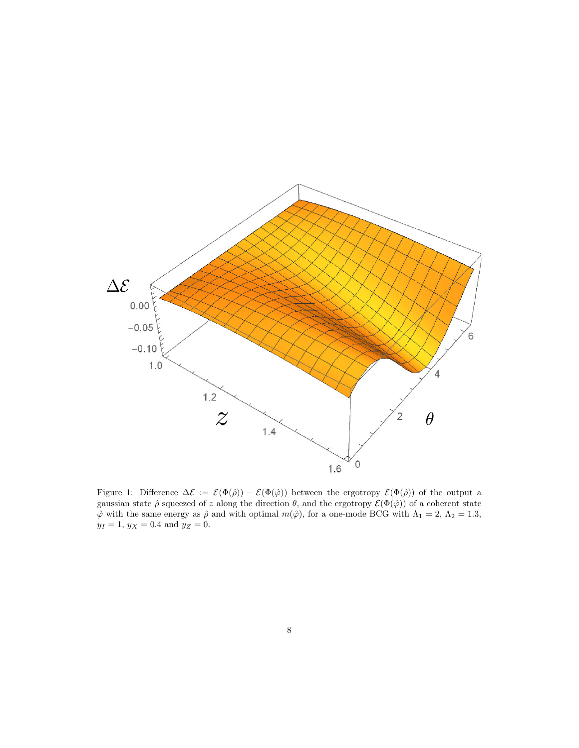

Figure 1: Difference  $\Delta \mathcal{E} := \mathcal{E}(\Phi(\hat{\rho})) - \mathcal{E}(\Phi(\hat{\varphi}))$  between the ergotropy  $\mathcal{E}(\Phi(\hat{\rho}))$  of the output a gaussian state  $\hat{\rho}$  squeezed of z along the direction  $\theta$ , and the ergotropy  $\mathcal{E}(\Phi(\hat{\varphi}))$  of a coherent state  $\hat{\varphi}$  with the same energy as  $\hat{\rho}$  and with optimal  $m(\hat{\varphi})$ , for a one-mode BCG with  $\Lambda_1 = 2$ ,  $\Lambda_2 = 1.3$ ,  $y_I = 1, y_X = 0.4$  and  $y_Z = 0$ .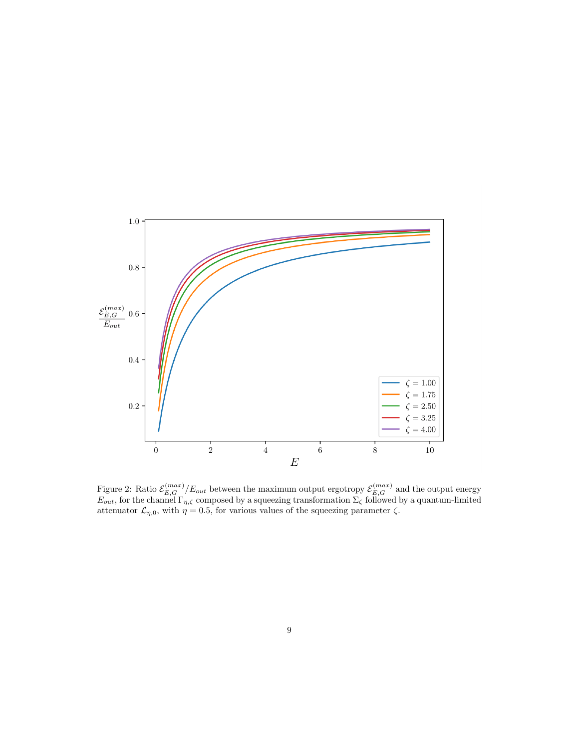

Figure 2: Ratio  $\mathcal{E}_{E,G}^{(max)}/E_{out}$  between the maximum output ergotropy  $\mathcal{E}_{E,G}^{(max)}$  and the output energy  $E_{out}$ , for the channel  $\Gamma_{\eta,\zeta}$  composed by a squeezing transformation  $\Sigma_{\zeta}$  followed by a quantum-limited attenuator  $\mathcal{L}_{\eta,0}$ , with  $\eta = 0.5$ , for various values of the squeezing parameter  $\zeta$ .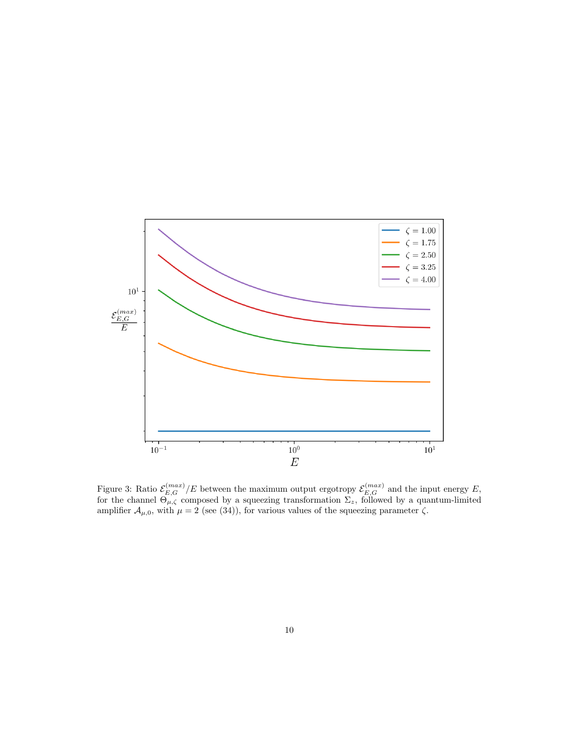

Figure 3: Ratio  $\mathcal{E}_{E,G}^{(max)}/E$  between the maximum output ergotropy  $\mathcal{E}_{E,G}^{(max)}$  and the input energy E, for the channel  $\Theta_{\mu,\zeta}$  composed by a squeezing transformation  $\Sigma_z$ , followed by a quantum-limited amplifier  $\mathcal{A}_{\mu,0}$ , with  $\mu = 2$  (see (34)), for various values of the squeezing parameter  $\zeta$ .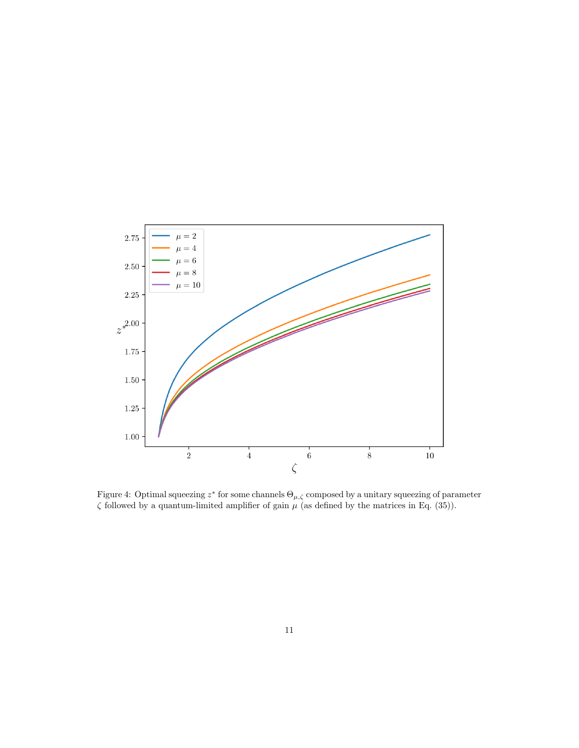

Figure 4: Optimal squeezing  $z^*$  for some channels  $\Theta_{\mu,\zeta}$  composed by a unitary squeezing of parameter  $\zeta$  followed by a quantum-limited amplifier of gain  $\mu$  (as defined by the matrices in Eq. (35)).